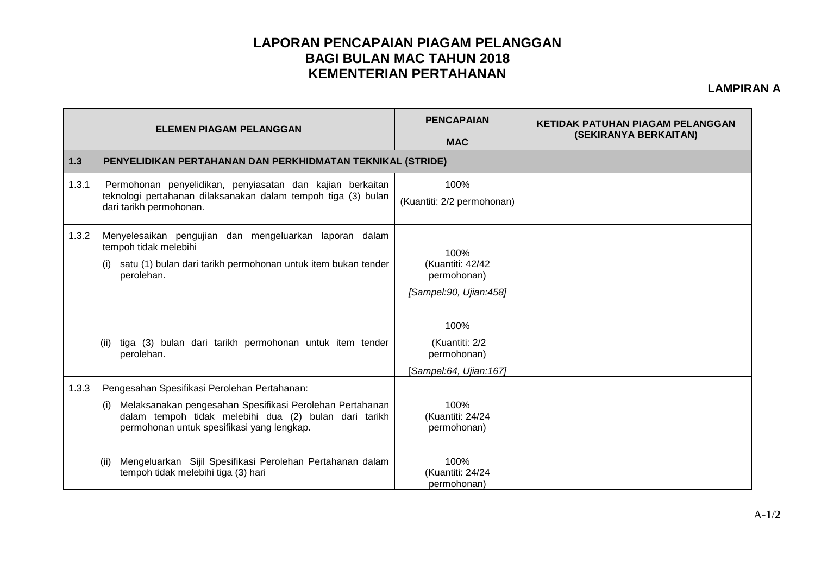## **LAPORAN PENCAPAIAN PIAGAM PELANGGAN BAGI BULAN MAC TAHUN 2018 KEMENTERIAN PERTAHANAN**

**LAMPIRAN A**

| <b>ELEMEN PIAGAM PELANGGAN</b> |                                                                                                                                                                        | <b>PENCAPAIAN</b>                                                 | <b>KETIDAK PATUHAN PIAGAM PELANGGAN</b> |  |  |  |
|--------------------------------|------------------------------------------------------------------------------------------------------------------------------------------------------------------------|-------------------------------------------------------------------|-----------------------------------------|--|--|--|
|                                |                                                                                                                                                                        | <b>MAC</b>                                                        | (SEKIRANYA BERKAITAN)                   |  |  |  |
| $1.3$                          | PENYELIDIKAN PERTAHANAN DAN PERKHIDMATAN TEKNIKAL (STRIDE)                                                                                                             |                                                                   |                                         |  |  |  |
| 1.3.1                          | Permohonan penyelidikan, penyiasatan dan kajian berkaitan<br>teknologi pertahanan dilaksanakan dalam tempoh tiga (3) bulan<br>dari tarikh permohonan.                  | 100%<br>(Kuantiti: 2/2 permohonan)                                |                                         |  |  |  |
| 1.3.2                          | Menyelesaikan pengujian dan mengeluarkan laporan dalam<br>tempoh tidak melebihi                                                                                        | 100%<br>(Kuantiti: 42/42<br>permohonan)<br>[Sampel:90, Ujian:458] |                                         |  |  |  |
|                                | (i) satu (1) bulan dari tarikh permohonan untuk item bukan tender<br>perolehan.                                                                                        |                                                                   |                                         |  |  |  |
|                                | tiga (3) bulan dari tarikh permohonan untuk item tender<br>(ii)<br>perolehan.                                                                                          | 100%<br>(Kuantiti: 2/2<br>permohonan)<br>Sampel:64, Ujian:167]    |                                         |  |  |  |
| 1.3.3                          | Pengesahan Spesifikasi Perolehan Pertahanan:                                                                                                                           |                                                                   |                                         |  |  |  |
|                                | Melaksanakan pengesahan Spesifikasi Perolehan Pertahanan<br>(1)<br>dalam tempoh tidak melebihi dua (2) bulan dari tarikh<br>permohonan untuk spesifikasi yang lengkap. | 100%<br>(Kuantiti: 24/24<br>permohonan)                           |                                         |  |  |  |
|                                | Mengeluarkan Sijil Spesifikasi Perolehan Pertahanan dalam<br>(ii)<br>tempoh tidak melebihi tiga (3) hari                                                               | 100%<br>(Kuantiti: 24/24<br>permohonan)                           |                                         |  |  |  |